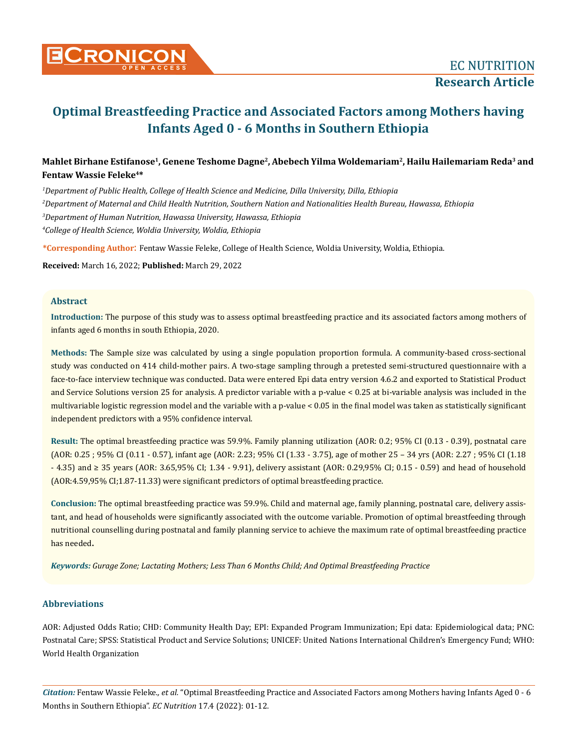

# **Optimal Breastfeeding Practice and Associated Factors among Mothers having Infants Aged 0 - 6 Months in Southern Ethiopia**

## **Mahlet Birhane Estifanose1, Genene Teshome Dagne2, Abebech Yilma Woldemariam2, Hailu Hailemariam Reda3 and Fentaw Wassie Feleke4\***

 *Department of Public Health, College of Health Science and Medicine, Dilla University, Dilla, Ethiopia Department of Maternal and Child Health Nutrition, Southern Nation and Nationalities Health Bureau, Hawassa, Ethiopia Department of Human Nutrition, Hawassa University, Hawassa, Ethiopia College of Health Science, Woldia University, Woldia, Ethiopia*

**\*Corresponding Author**: Fentaw Wassie Feleke, College of Health Science, Woldia University, Woldia, Ethiopia.

**Received:** March 16, 2022; **Published:** March 29, 2022

### **Abstract**

**Introduction:** The purpose of this study was to assess optimal breastfeeding practice and its associated factors among mothers of infants aged 6 months in south Ethiopia, 2020.

**Methods:** The Sample size was calculated by using a single population proportion formula. A community-based cross-sectional study was conducted on 414 child-mother pairs. A two-stage sampling through a pretested semi-structured questionnaire with a face-to-face interview technique was conducted. Data were entered Epi data entry version 4.6.2 and exported to Statistical Product and Service Solutions version 25 for analysis. A predictor variable with a p-value < 0.25 at bi-variable analysis was included in the multivariable logistic regression model and the variable with a p-value < 0.05 in the final model was taken as statistically significant independent predictors with a 95% confidence interval.

**Result:** The optimal breastfeeding practice was 59.9%. Family planning utilization (AOR: 0.2; 95% CI (0.13 - 0.39), postnatal care (AOR: 0.25 ; 95% CI (0.11 - 0.57), infant age (AOR: 2.23; 95% CI (1.33 - 3.75), age of mother 25 – 34 yrs (AOR: 2.27 ; 95% CI (1.18 - 4.35) and ≥ 35 years (AOR: 3.65,95% CI; 1.34 - 9.91), delivery assistant (AOR: 0.29,95% CI; 0.15 - 0.59) and head of household (AOR:4.59,95% CI;1.87-11.33) were significant predictors of optimal breastfeeding practice.

**Conclusion:** The optimal breastfeeding practice was 59.9%. Child and maternal age, family planning, postnatal care, delivery assistant, and head of households were significantly associated with the outcome variable. Promotion of optimal breastfeeding through nutritional counselling during postnatal and family planning service to achieve the maximum rate of optimal breastfeeding practice has needed**.**

*Keywords: Gurage Zone; Lactating Mothers; Less Than 6 Months Child; And Optimal Breastfeeding Practice*

### **Abbreviations**

AOR: Adjusted Odds Ratio; CHD: Community Health Day; EPI: Expanded Program Immunization; Epi data: Epidemiological data; PNC: Postnatal Care; SPSS: Statistical Product and Service Solutions; UNICEF: United Nations International Children's Emergency Fund; WHO: World Health Organization

*Citation:* Fentaw Wassie Feleke*., et al.* "Optimal Breastfeeding Practice and Associated Factors among Mothers having Infants Aged 0 - 6 Months in Southern Ethiopia". *EC Nutrition* 17.4 (2022): 01-12.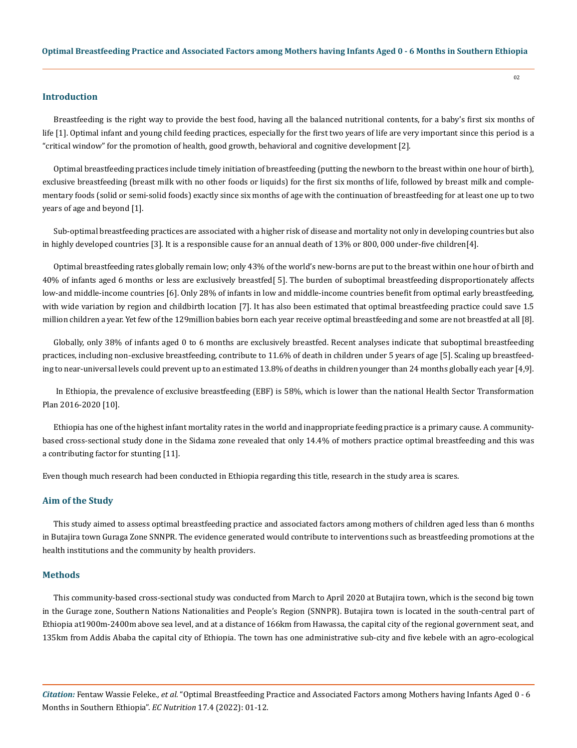#### **Introduction**

Breastfeeding is the right way to provide the best food, having all the balanced nutritional contents, for a baby's first six months of life [1]. Optimal infant and young child feeding practices, especially for the first two years of life are very important since this period is a "critical window" for the promotion of health, good growth, behavioral and cognitive development [2].

Optimal breastfeeding practices include timely initiation of breastfeeding (putting the newborn to the breast within one hour of birth), exclusive breastfeeding (breast milk with no other foods or liquids) for the first six months of life, followed by breast milk and complementary foods (solid or semi-solid foods) exactly since six months of age with the continuation of breastfeeding for at least one up to two years of age and beyond [1].

Sub-optimal breastfeeding practices are associated with a higher risk of disease and mortality not only in developing countries but also in highly developed countries [3]. It is a responsible cause for an annual death of 13% or 800, 000 under-five children[4].

Optimal breastfeeding rates globally remain low; only 43% of the world's new-borns are put to the breast within one hour of birth and 40% of infants aged 6 months or less are exclusively breastfed[ 5]. The burden of suboptimal breastfeeding disproportionately affects low-and middle-income countries [6]. Only 28% of infants in low and middle-income countries benefit from optimal early breastfeeding, with wide variation by region and childbirth location [7]. It has also been estimated that optimal breastfeeding practice could save 1.5 million children a year. Yet few of the 129million babies born each year receive optimal breastfeeding and some are not breastfed at all [8].

Globally, only 38% of infants aged 0 to 6 months are exclusively breastfed. Recent analyses indicate that suboptimal breastfeeding practices, including non-exclusive breastfeeding, contribute to 11.6% of death in children under 5 years of age [5]. Scaling up breastfeeding to near-universal levels could prevent up to an estimated 13.8% of deaths in children younger than 24 months globally each year [4,9].

 In Ethiopia, the prevalence of exclusive breastfeeding (EBF) is 58%, which is lower than the national Health Sector Transformation Plan 2016-2020 [10].

Ethiopia has one of the highest infant mortality rates in the world and inappropriate feeding practice is a primary cause. A communitybased cross-sectional study done in the Sidama zone revealed that only 14.4% of mothers practice optimal breastfeeding and this was a contributing factor for stunting [11].

Even though much research had been conducted in Ethiopia regarding this title, research in the study area is scares.

### **Aim of the Study**

This study aimed to assess optimal breastfeeding practice and associated factors among mothers of children aged less than 6 months in Butajira town Guraga Zone SNNPR. The evidence generated would contribute to interventions such as breastfeeding promotions at the health institutions and the community by health providers.

#### **Methods**

This community-based cross-sectional study was conducted from March to April 2020 at Butajira town, which is the second big town in the Gurage zone, Southern Nations Nationalities and People's Region (SNNPR). Butajira town is located in the south-central part of Ethiopia at1900m-2400m above sea level, and at a distance of 166km from Hawassa, the capital city of the regional government seat, and 135km from Addis Ababa the capital city of Ethiopia. The town has one administrative sub-city and five kebele with an agro-ecological

*Citation:* Fentaw Wassie Feleke*., et al.* "Optimal Breastfeeding Practice and Associated Factors among Mothers having Infants Aged 0 - 6 Months in Southern Ethiopia". *EC Nutrition* 17.4 (2022): 01-12.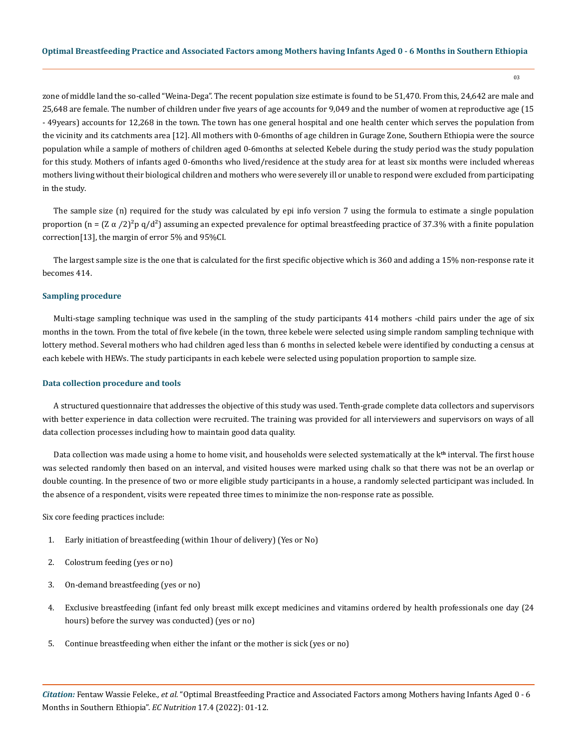zone of middle land the so-called "Weina-Dega". The recent population size estimate is found to be 51,470. From this, 24,642 are male and 25,648 are female. The number of children under five years of age accounts for 9,049 and the number of women at reproductive age (15 - 49years) accounts for 12,268 in the town. The town has one general hospital and one health center which serves the population from the vicinity and its catchments area [12]. All mothers with 0-6months of age children in Gurage Zone, Southern Ethiopia were the source population while a sample of mothers of children aged 0-6months at selected Kebele during the study period was the study population for this study. Mothers of infants aged 0-6months who lived/residence at the study area for at least six months were included whereas mothers living without their biological children and mothers who were severely ill or unable to respond were excluded from participating in the study.

The sample size (n) required for the study was calculated by epi info version 7 using the formula to estimate a single population proportion (n =  $(Z \alpha /2)^2 p q/d^2$ ) assuming an expected prevalence for optimal breastfeeding practice of 37.3% with a finite population correction[13], the margin of error 5% and 95%CI.

The largest sample size is the one that is calculated for the first specific objective which is 360 and adding a 15% non-response rate it becomes 414.

#### **Sampling procedure**

Multi-stage sampling technique was used in the sampling of the study participants 414 mothers -child pairs under the age of six months in the town. From the total of five kebele (in the town, three kebele were selected using simple random sampling technique with lottery method. Several mothers who had children aged less than 6 months in selected kebele were identified by conducting a census at each kebele with HEWs. The study participants in each kebele were selected using population proportion to sample size.

#### **Data collection procedure and tools**

A structured questionnaire that addresses the objective of this study was used. Tenth-grade complete data collectors and supervisors with better experience in data collection were recruited. The training was provided for all interviewers and supervisors on ways of all data collection processes including how to maintain good data quality.

Data collection was made using a home to home visit, and households were selected systematically at the k**th** interval. The first house was selected randomly then based on an interval, and visited houses were marked using chalk so that there was not be an overlap or double counting. In the presence of two or more eligible study participants in a house, a randomly selected participant was included. In the absence of a respondent, visits were repeated three times to minimize the non-response rate as possible.

Six core feeding practices include:

- 1. Early initiation of breastfeeding (within 1hour of delivery) (Yes or No)
- 2. Colostrum feeding (yes or no)
- 3. On-demand breastfeeding (yes or no)
- 4. Exclusive breastfeeding (infant fed only breast milk except medicines and vitamins ordered by health professionals one day (24 hours) before the survey was conducted) (yes or no)
- 5. Continue breastfeeding when either the infant or the mother is sick (yes or no)

*Citation:* Fentaw Wassie Feleke*., et al.* "Optimal Breastfeeding Practice and Associated Factors among Mothers having Infants Aged 0 - 6 Months in Southern Ethiopia". *EC Nutrition* 17.4 (2022): 01-12.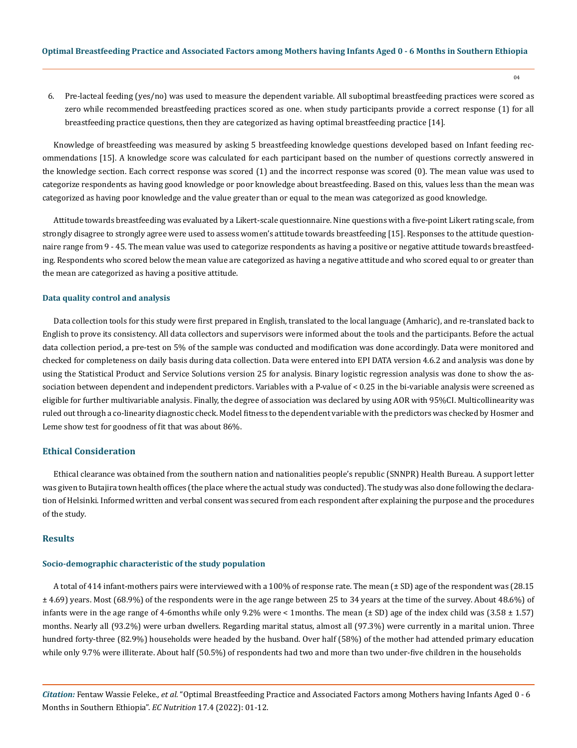6. Pre-lacteal feeding (yes/no) was used to measure the dependent variable. All suboptimal breastfeeding practices were scored as zero while recommended breastfeeding practices scored as one. when study participants provide a correct response (1) for all breastfeeding practice questions, then they are categorized as having optimal breastfeeding practice [14].

Knowledge of breastfeeding was measured by asking 5 breastfeeding knowledge questions developed based on Infant feeding recommendations [15]. A knowledge score was calculated for each participant based on the number of questions correctly answered in the knowledge section. Each correct response was scored (1) and the incorrect response was scored (0). The mean value was used to categorize respondents as having good knowledge or poor knowledge about breastfeeding. Based on this, values less than the mean was categorized as having poor knowledge and the value greater than or equal to the mean was categorized as good knowledge.

Attitude towards breastfeeding was evaluated by a Likert-scale questionnaire. Nine questions with a five-point Likert rating scale, from strongly disagree to strongly agree were used to assess women's attitude towards breastfeeding [15]. Responses to the attitude questionnaire range from 9 - 45. The mean value was used to categorize respondents as having a positive or negative attitude towards breastfeeding. Respondents who scored below the mean value are categorized as having a negative attitude and who scored equal to or greater than the mean are categorized as having a positive attitude.

#### **Data quality control and analysis**

Data collection tools for this study were first prepared in English, translated to the local language (Amharic), and re-translated back to English to prove its consistency. All data collectors and supervisors were informed about the tools and the participants. Before the actual data collection period, a pre-test on 5% of the sample was conducted and modification was done accordingly. Data were monitored and checked for completeness on daily basis during data collection. Data were entered into EPI DATA version 4.6.2 and analysis was done by using the Statistical Product and Service Solutions version 25 for analysis. Binary logistic regression analysis was done to show the association between dependent and independent predictors. Variables with a P-value of < 0.25 in the bi-variable analysis were screened as eligible for further multivariable analysis. Finally, the degree of association was declared by using AOR with 95%CI. Multicollinearity was ruled out through a co-linearity diagnostic check. Model fitness to the dependent variable with the predictors was checked by Hosmer and Leme show test for goodness of fit that was about 86%.

### **Ethical Consideration**

Ethical clearance was obtained from the southern nation and nationalities people's republic (SNNPR) Health Bureau. A support letter was given to Butajira town health offices (the place where the actual study was conducted). The study was also done following the declaration of Helsinki. Informed written and verbal consent was secured from each respondent after explaining the purpose and the procedures of the study.

#### **Results**

### **Socio-demographic characteristic of the study population**

A total of 414 infant-mothers pairs were interviewed with a 100% of response rate. The mean (± SD) age of the respondent was (28.15 ± 4.69) years. Most (68.9%) of the respondents were in the age range between 25 to 34 years at the time of the survey. About 48.6%) of infants were in the age range of 4-6months while only 9.2% were < 1months. The mean  $(\pm SD)$  age of the index child was  $(3.58 \pm 1.57)$ months. Nearly all (93.2%) were urban dwellers. Regarding marital status, almost all (97.3%) were currently in a marital union. Three hundred forty-three (82.9%) households were headed by the husband. Over half (58%) of the mother had attended primary education while only 9.7% were illiterate. About half (50.5%) of respondents had two and more than two under-five children in the households

*Citation:* Fentaw Wassie Feleke*., et al.* "Optimal Breastfeeding Practice and Associated Factors among Mothers having Infants Aged 0 - 6 Months in Southern Ethiopia". *EC Nutrition* 17.4 (2022): 01-12.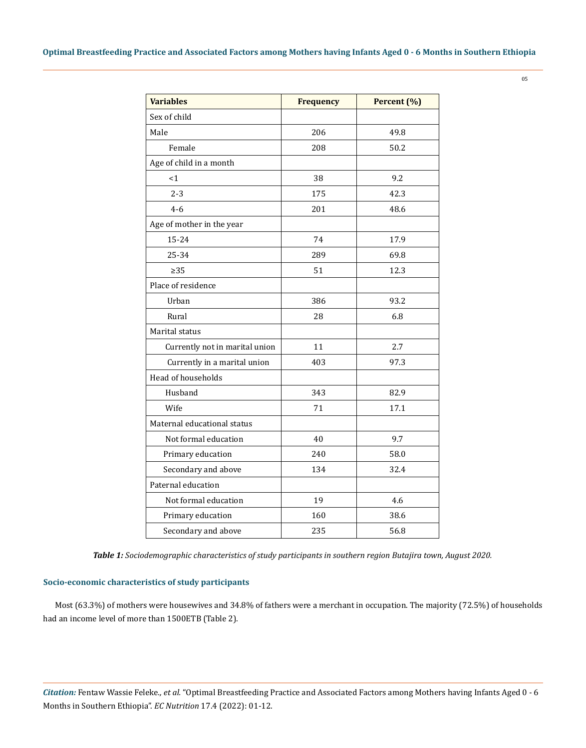| <b>Variables</b>               | <b>Frequency</b> | Percent (%) |
|--------------------------------|------------------|-------------|
| Sex of child                   |                  |             |
| Male                           | 206              | 49.8        |
| Female                         | 208              | 50.2        |
| Age of child in a month        |                  |             |
| <1                             | 38               | 9.2         |
| $2 - 3$                        | 175              | 42.3        |
| $4 - 6$                        | 201              | 48.6        |
| Age of mother in the year      |                  |             |
| 15-24                          | 74               | 17.9        |
| 25-34                          | 289              | 69.8        |
| $\geq$ 35                      | 51               | 12.3        |
| Place of residence             |                  |             |
| Urban                          | 386              | 93.2        |
| Rural                          | 28               | 6.8         |
| Marital status                 |                  |             |
| Currently not in marital union | 11               | 2.7         |
| Currently in a marital union   | 403              | 97.3        |
| Head of households             |                  |             |
| Husband                        | 343              | 82.9        |
| Wife                           | 71               | 17.1        |
| Maternal educational status    |                  |             |
| Not formal education           | 40               | 9.7         |
| Primary education              | 240              | 58.0        |
| Secondary and above            | 134              | 32.4        |
| Paternal education             |                  |             |
| Not formal education           | 19               | 4.6         |
| Primary education              | 160              | 38.6        |
| Secondary and above            | 235              | 56.8        |

*Table 1: Sociodemographic characteristics of study participants in southern region Butajira town, August 2020.*

### **Socio-economic characteristics of study participants**

Most (63.3%) of mothers were housewives and 34.8% of fathers were a merchant in occupation. The majority (72.5%) of households had an income level of more than 1500ETB (Table 2).

*Citation:* Fentaw Wassie Feleke*., et al.* "Optimal Breastfeeding Practice and Associated Factors among Mothers having Infants Aged 0 - 6 Months in Southern Ethiopia". *EC Nutrition* 17.4 (2022): 01-12.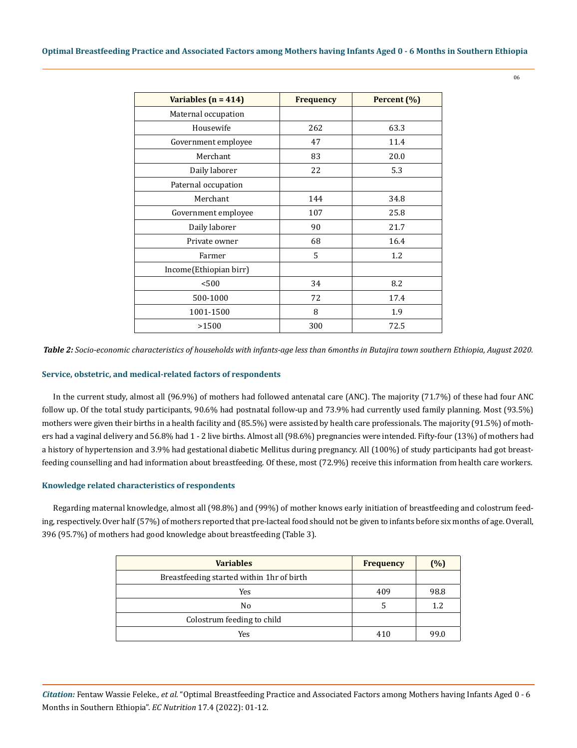06

| Variables $(n = 414)$  | <b>Frequency</b> | Percent (%) |
|------------------------|------------------|-------------|
| Maternal occupation    |                  |             |
| Housewife              | 262              | 63.3        |
| Government employee    | 47               | 11.4        |
| Merchant               | 83               | 20.0        |
| Daily laborer          | 22               | 5.3         |
| Paternal occupation    |                  |             |
| Merchant               | 144              | 34.8        |
| Government employee    | 107              | 25.8        |
| Daily laborer          | 90               | 21.7        |
| Private owner          | 68               | 16.4        |
| Farmer                 | 5                | 1.2         |
| Income(Ethiopian birr) |                  |             |
| < 500                  | 34               | 8.2         |
| 500-1000               | 72               | 17.4        |
| 1001-1500              | 8                | 1.9         |
| >1500                  | 300              | 72.5        |

*Table 2: Socio-economic characteristics of households with infants-age less than 6months in Butajira town southern Ethiopia, August 2020.*

### **Service, obstetric, and medical-related factors of respondents**

In the current study, almost all (96.9%) of mothers had followed antenatal care (ANC). The majority (71.7%) of these had four ANC follow up. Of the total study participants, 90.6% had postnatal follow-up and 73.9% had currently used family planning. Most (93.5%) mothers were given their births in a health facility and (85.5%) were assisted by health care professionals. The majority (91.5%) of mothers had a vaginal delivery and 56.8% had 1 - 2 live births. Almost all (98.6%) pregnancies were intended. Fifty-four (13%) of mothers had a history of hypertension and 3.9% had gestational diabetic Mellitus during pregnancy. All (100%) of study participants had got breastfeeding counselling and had information about breastfeeding. Of these, most (72.9%) receive this information from health care workers.

### **Knowledge related characteristics of respondents**

Regarding maternal knowledge, almost all (98.8%) and (99%) of mother knows early initiation of breastfeeding and colostrum feeding, respectively. Over half (57%) of mothers reported that pre-lacteal food should not be given to infants before six months of age. Overall, 396 (95.7%) of mothers had good knowledge about breastfeeding (Table 3).

| <b>Variables</b>                          | <b>Frequency</b> | $(\%)$ |
|-------------------------------------------|------------------|--------|
| Breastfeeding started within 1hr of birth |                  |        |
| Yes                                       | 409              | 98.8   |
| No                                        |                  | 1.2    |
| Colostrum feeding to child                |                  |        |
| Yes                                       | 410              | 99.0   |

*Citation:* Fentaw Wassie Feleke*., et al.* "Optimal Breastfeeding Practice and Associated Factors among Mothers having Infants Aged 0 - 6 Months in Southern Ethiopia". *EC Nutrition* 17.4 (2022): 01-12.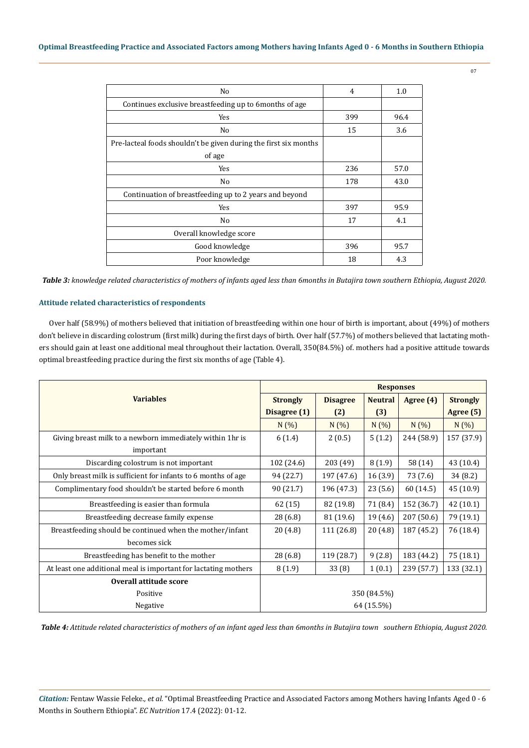| N <sub>0</sub>                                                   | 4   | 1.0  |
|------------------------------------------------------------------|-----|------|
| Continues exclusive breastfeeding up to 6 months of age          |     |      |
| Yes                                                              | 399 | 96.4 |
| N <sub>0</sub>                                                   | 15  | 3.6  |
| Pre-lacteal foods shouldn't be given during the first six months |     |      |
| of age                                                           |     |      |
| Yes                                                              | 236 | 57.0 |
| No                                                               | 178 | 43.0 |
| Continuation of breastfeeding up to 2 years and beyond           |     |      |
| Yes                                                              | 397 | 95.9 |
| No                                                               | 17  | 4.1  |
| Overall knowledge score                                          |     |      |
| Good knowledge                                                   | 396 | 95.7 |
| Poor knowledge                                                   | 18  | 4.3  |

*Table 3: knowledge related characteristics of mothers of infants aged less than 6months in Butajira town southern Ethiopia, August 2020.*

### **Attitude related characteristics of respondents**

Over half (58.9%) of mothers believed that initiation of breastfeeding within one hour of birth is important, about (49%) of mothers don't believe in discarding colostrum (first milk) during the first days of birth. Over half (57.7%) of mothers believed that lactating mothers should gain at least one additional meal throughout their lactation. Overall, 350(84.5%) of. mothers had a positive attitude towards optimal breastfeeding practice during the first six months of age (Table 4).

|                                                                 | <b>Responses</b> |                 |                |            |                 |
|-----------------------------------------------------------------|------------------|-----------------|----------------|------------|-----------------|
| <b>Variables</b>                                                | <b>Strongly</b>  | <b>Disagree</b> | <b>Neutral</b> | Agree (4)  | <b>Strongly</b> |
|                                                                 | Disagree (1)     | (2)             | (3)            |            | Agree (5)       |
|                                                                 | N(%)             | N(%)            | N(%)           | N(%)       | N(%)            |
| Giving breast milk to a newborn immediately within 1hr is       | 6(1.4)           | 2(0.5)          | 5(1.2)         | 244 (58.9) | 157 (37.9)      |
| important                                                       |                  |                 |                |            |                 |
| Discarding colostrum is not important                           | 102 (24.6)       | 203 (49)        | 8(1.9)         | 58 (14)    | 43 (10.4)       |
| Only breast milk is sufficient for infants to 6 months of age   | 94 (22.7)        | 197 (47.6)      | 16(3.9)        | 73 (7.6)   | 34 (8.2)        |
| Complimentary food shouldn't be started before 6 month          | 90 (21.7)        | 196 (47.3)      | 23(5.6)        | 60 (14.5)  | 45 (10.9)       |
| Breastfeeding is easier than formula                            | 62(15)           | 82 (19.8)       | 71 (8.4)       | 152 (36.7) | 42 (10.1)       |
| Breastfeeding decrease family expense                           | 28 (6.8)         | 81 (19.6)       | 19(4.6)        | 207 (50.6) | 79 (19.1)       |
| Breastfeeding should be continued when the mother/infant        | 20(4.8)          | 111 (26.8)      | 20(4.8)        | 187 (45.2) | 76 (18.4)       |
| becomes sick                                                    |                  |                 |                |            |                 |
| Breastfeeding has benefit to the mother                         | 28 (6.8)         | 119 (28.7)      | 9(2.8)         | 183 (44.2) | 75 (18.1)       |
| At least one additional meal is important for lactating mothers | 8(1.9)           | 33(8)           | 1(0.1)         | 239 (57.7) | 133 (32.1)      |
| Overall attitude score                                          |                  |                 |                |            |                 |
| Positive                                                        | 350 (84.5%)      |                 |                |            |                 |
| Negative                                                        | 64 (15.5%)       |                 |                |            |                 |

*Table 4: Attitude related characteristics of mothers of an infant aged less than 6months in Butajira town southern Ethiopia, August 2020.*

*Citation:* Fentaw Wassie Feleke*., et al.* "Optimal Breastfeeding Practice and Associated Factors among Mothers having Infants Aged 0 - 6 Months in Southern Ethiopia". *EC Nutrition* 17.4 (2022): 01-12.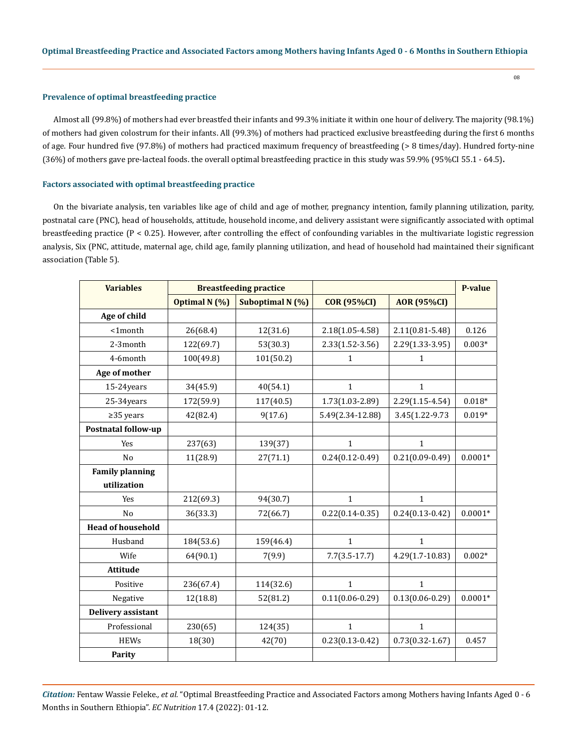#### **Prevalence of optimal breastfeeding practice**

Almost all (99.8%) of mothers had ever breastfed their infants and 99.3% initiate it within one hour of delivery. The majority (98.1%) of mothers had given colostrum for their infants. All (99.3%) of mothers had practiced exclusive breastfeeding during the first 6 months of age. Four hundred five (97.8%) of mothers had practiced maximum frequency of breastfeeding (> 8 times/day). Hundred forty-nine (36%) of mothers gave pre-lacteal foods. the overall optimal breastfeeding practice in this study was 59.9% (95%CI 55.1 - 64.5)**.**

#### **Factors associated with optimal breastfeeding practice**

On the bivariate analysis, ten variables like age of child and age of mother, pregnancy intention, family planning utilization, parity, postnatal care (PNC), head of households, attitude, household income, and delivery assistant were significantly associated with optimal breastfeeding practice  $(P < 0.25)$ . However, after controlling the effect of confounding variables in the multivariate logistic regression analysis, Six (PNC, attitude, maternal age, child age, family planning utilization, and head of household had maintained their significant association (Table 5).

| <b>Variables</b>           | <b>Breastfeeding practice</b> |                  |                     |                     | <b>P-value</b> |
|----------------------------|-------------------------------|------------------|---------------------|---------------------|----------------|
|                            | Optimal N (%)                 | Suboptimal N (%) | <b>COR (95%CI)</b>  | <b>AOR (95%CI)</b>  |                |
| Age of child               |                               |                  |                     |                     |                |
| $1$ month                  | 26(68.4)                      | 12(31.6)         | $2.18(1.05 - 4.58)$ | $2.11(0.81 - 5.48)$ | 0.126          |
| 2-3month                   | 122(69.7)                     | 53(30.3)         | $2.33(1.52-3.56)$   | 2.29(1.33-3.95)     | $0.003*$       |
| 4-6month                   | 100(49.8)                     | 101(50.2)        | $\mathbf{1}$        | 1                   |                |
| Age of mother              |                               |                  |                     |                     |                |
| 15-24years                 | 34(45.9)                      | 40(54.1)         | $\mathbf{1}$        | $\mathbf{1}$        |                |
| 25-34years                 | 172(59.9)                     | 117(40.5)        | 1.73(1.03-2.89)     | $2.29(1.15-4.54)$   | $0.018*$       |
| $\geq$ 35 years            | 42(82.4)                      | 9(17.6)          | 5.49(2.34-12.88)    | 3.45(1.22-9.73)     | $0.019*$       |
| <b>Postnatal follow-up</b> |                               |                  |                     |                     |                |
| Yes                        | 237(63)                       | 139(37)          | $\mathbf{1}$        | $\mathbf{1}$        |                |
| N <sub>o</sub>             | 11(28.9)                      | 27(71.1)         | $0.24(0.12-0.49)$   | $0.21(0.09-0.49)$   | $0.0001*$      |
| <b>Family planning</b>     |                               |                  |                     |                     |                |
| utilization                |                               |                  |                     |                     |                |
| Yes                        | 212(69.3)                     | 94(30.7)         | $\mathbf{1}$        | $\mathbf{1}$        |                |
| N <sub>o</sub>             | 36(33.3)                      | 72(66.7)         | $0.22(0.14 - 0.35)$ | $0.24(0.13-0.42)$   | $0.0001*$      |
| <b>Head of household</b>   |                               |                  |                     |                     |                |
| Husband                    | 184(53.6)                     | 159(46.4)        | $\mathbf{1}$        | $\mathbf{1}$        |                |
| Wife                       | 64(90.1)                      | 7(9.9)           | $7.7(3.5-17.7)$     | $4.29(1.7-10.83)$   | $0.002*$       |
| Attitude                   |                               |                  |                     |                     |                |
| Positive                   | 236(67.4)                     | 114(32.6)        | $\mathbf{1}$        | $\mathbf{1}$        |                |
| Negative                   | 12(18.8)                      | 52(81.2)         | $0.11(0.06 - 0.29)$ | $0.13(0.06 - 0.29)$ | $0.0001*$      |
| Delivery assistant         |                               |                  |                     |                     |                |
| Professional               | 230(65)                       | 124(35)          | $\mathbf{1}$        | $\mathbf{1}$        |                |
| <b>HEWs</b>                | 18(30)                        | 42(70)           | $0.23(0.13-0.42)$   | $0.73(0.32 - 1.67)$ | 0.457          |
| Parity                     |                               |                  |                     |                     |                |

*Citation:* Fentaw Wassie Feleke*., et al.* "Optimal Breastfeeding Practice and Associated Factors among Mothers having Infants Aged 0 - 6 Months in Southern Ethiopia". *EC Nutrition* 17.4 (2022): 01-12.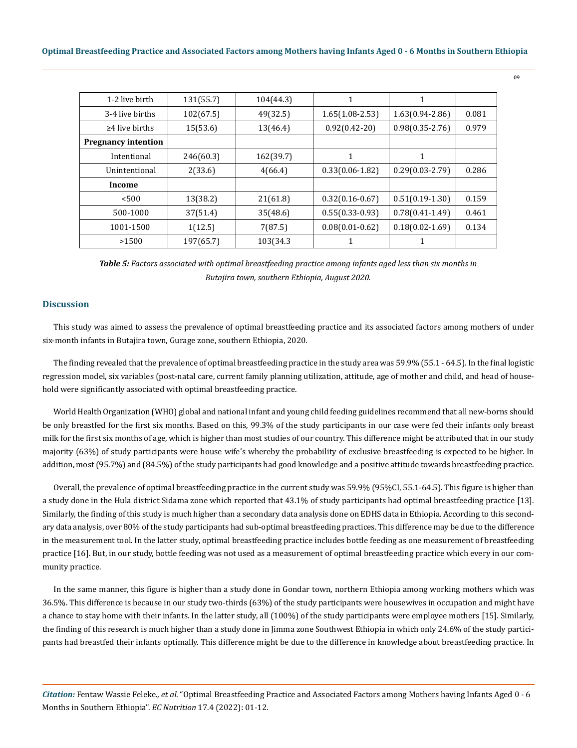| 131(55.7) | 104(44.3) | 1                   | 1                   |       |
|-----------|-----------|---------------------|---------------------|-------|
| 102(67.5) | 49(32.5)  | $1.65(1.08-2.53)$   | $1.63(0.94 - 2.86)$ | 0.081 |
| 15(53.6)  | 13(46.4)  | $0.92(0.42-20)$     | $0.98(0.35 - 2.76)$ | 0.979 |
|           |           |                     |                     |       |
| 246(60.3) | 162(39.7) | 1                   | 1                   |       |
| 2(33.6)   | 4(66.4)   | $0.33(0.06 - 1.82)$ | $0.29(0.03 - 2.79)$ | 0.286 |
|           |           |                     |                     |       |
| 13(38.2)  | 21(61.8)  | $0.32(0.16-0.67)$   | $0.51(0.19-1.30)$   | 0.159 |
| 37(51.4)  | 35(48.6)  | $0.55(0.33-0.93)$   | $0.78(0.41-1.49)$   | 0.461 |
| 1(12.5)   | 7(87.5)   | $0.08(0.01 - 0.62)$ | $0.18(0.02 - 1.69)$ | 0.134 |
| 197(65.7) | 103(34.3  | $\mathbf 1$         | 1                   |       |
|           |           |                     |                     |       |

*Table 5: Factors associated with optimal breastfeeding practice among infants aged less than six months in Butajira town, southern Ethiopia, August 2020.*

### **Discussion**

This study was aimed to assess the prevalence of optimal breastfeeding practice and its associated factors among mothers of under six-month infants in Butajira town, Gurage zone, southern Ethiopia, 2020.

The finding revealed that the prevalence of optimal breastfeeding practice in the study area was 59.9% (55.1 - 64.5). In the final logistic regression model, six variables (post-natal care, current family planning utilization, attitude, age of mother and child, and head of household were significantly associated with optimal breastfeeding practice.

World Health Organization (WHO) global and national infant and young child feeding guidelines recommend that all new-borns should be only breastfed for the first six months. Based on this, 99.3% of the study participants in our case were fed their infants only breast milk for the first six months of age, which is higher than most studies of our country. This difference might be attributed that in our study majority (63%) of study participants were house wife's whereby the probability of exclusive breastfeeding is expected to be higher. In addition, most (95.7%) and (84.5%) of the study participants had good knowledge and a positive attitude towards breastfeeding practice.

Overall, the prevalence of optimal breastfeeding practice in the current study was 59.9% (95%CI, 55.1-64.5). This figure is higher than a study done in the Hula district Sidama zone which reported that 43.1% of study participants had optimal breastfeeding practice [13]. Similarly, the finding of this study is much higher than a secondary data analysis done on EDHS data in Ethiopia. According to this secondary data analysis, over 80% of the study participants had sub-optimal breastfeeding practices. This difference may be due to the difference in the measurement tool. In the latter study, optimal breastfeeding practice includes bottle feeding as one measurement of breastfeeding practice [16]. But, in our study, bottle feeding was not used as a measurement of optimal breastfeeding practice which every in our community practice.

In the same manner, this figure is higher than a study done in Gondar town, northern Ethiopia among working mothers which was 36.5%. This difference is because in our study two-thirds (63%) of the study participants were housewives in occupation and might have a chance to stay home with their infants. In the latter study, all (100%) of the study participants were employee mothers [15]. Similarly, the finding of this research is much higher than a study done in Jimma zone Southwest Ethiopia in which only 24.6% of the study participants had breastfed their infants optimally. This difference might be due to the difference in knowledge about breastfeeding practice. In

*Citation:* Fentaw Wassie Feleke*., et al.* "Optimal Breastfeeding Practice and Associated Factors among Mothers having Infants Aged 0 - 6 Months in Southern Ethiopia". *EC Nutrition* 17.4 (2022): 01-12.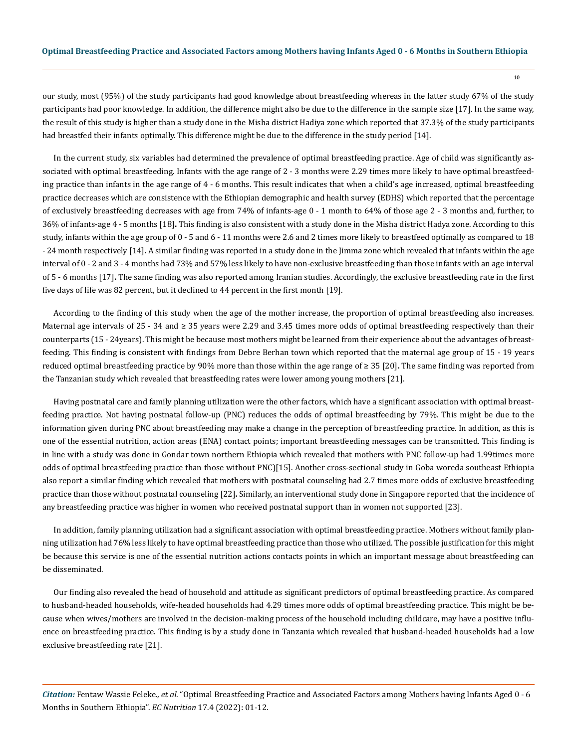our study, most (95%) of the study participants had good knowledge about breastfeeding whereas in the latter study 67% of the study participants had poor knowledge. In addition, the difference might also be due to the difference in the sample size [17]. In the same way, the result of this study is higher than a study done in the Misha district Hadiya zone which reported that 37.3% of the study participants had breastfed their infants optimally. This difference might be due to the difference in the study period [14].

In the current study, six variables had determined the prevalence of optimal breastfeeding practice. Age of child was significantly associated with optimal breastfeeding. Infants with the age range of 2 - 3 months were 2.29 times more likely to have optimal breastfeeding practice than infants in the age range of 4 - 6 months. This result indicates that when a child's age increased, optimal breastfeeding practice decreases which are consistence with the Ethiopian demographic and health survey (EDHS) which reported that the percentage of exclusively breastfeeding decreases with age from 74% of infants-age 0 - 1 month to 64% of those age 2 - 3 months and, further, to 36% of infants-age 4 - 5 months [18]**.** This finding is also consistent with a study done in the Misha district Hadya zone. According to this study, infants within the age group of 0 - 5 and 6 - 11 months were 2.6 and 2 times more likely to breastfeed optimally as compared to 18 - 24 month respectively [14]**.** A similar finding was reported in a study done in the Jimma zone which revealed that infants within the age interval of 0 - 2 and 3 - 4 months had 73% and 57% less likely to have non-exclusive breastfeeding than those infants with an age interval of 5 - 6 months [17]**.** The same finding was also reported among Iranian studies. Accordingly, the exclusive breastfeeding rate in the first five days of life was 82 percent, but it declined to 44 percent in the first month [19].

According to the finding of this study when the age of the mother increase, the proportion of optimal breastfeeding also increases. Maternal age intervals of 25 - 34 and ≥ 35 years were 2.29 and 3.45 times more odds of optimal breastfeeding respectively than their counterparts (15 - 24years). This might be because most mothers might be learned from their experience about the advantages of breastfeeding. This finding is consistent with findings from Debre Berhan town which reported that the maternal age group of 15 - 19 years reduced optimal breastfeeding practice by 90% more than those within the age range of ≥ 35 [20]**.** The same finding was reported from the Tanzanian study which revealed that breastfeeding rates were lower among young mothers [21].

Having postnatal care and family planning utilization were the other factors, which have a significant association with optimal breastfeeding practice. Not having postnatal follow-up (PNC) reduces the odds of optimal breastfeeding by 79%. This might be due to the information given during PNC about breastfeeding may make a change in the perception of breastfeeding practice. In addition, as this is one of the essential nutrition, action areas (ENA) contact points; important breastfeeding messages can be transmitted. This finding is in line with a study was done in Gondar town northern Ethiopia which revealed that mothers with PNC follow-up had 1.99times more odds of optimal breastfeeding practice than those without PNC)[15]. Another cross-sectional study in Goba woreda southeast Ethiopia also report a similar finding which revealed that mothers with postnatal counseling had 2.7 times more odds of exclusive breastfeeding practice than those without postnatal counseling [22]**.** Similarly, an interventional study done in Singapore reported that the incidence of any breastfeeding practice was higher in women who received postnatal support than in women not supported [23].

In addition, family planning utilization had a significant association with optimal breastfeeding practice. Mothers without family planning utilization had 76% less likely to have optimal breastfeeding practice than those who utilized. The possible justification for this might be because this service is one of the essential nutrition actions contacts points in which an important message about breastfeeding can be disseminated.

Our finding also revealed the head of household and attitude as significant predictors of optimal breastfeeding practice. As compared to husband-headed households, wife-headed households had 4.29 times more odds of optimal breastfeeding practice. This might be because when wives/mothers are involved in the decision-making process of the household including childcare, may have a positive influence on breastfeeding practice. This finding is by a study done in Tanzania which revealed that husband-headed households had a low exclusive breastfeeding rate [21].

*Citation:* Fentaw Wassie Feleke*., et al.* "Optimal Breastfeeding Practice and Associated Factors among Mothers having Infants Aged 0 - 6 Months in Southern Ethiopia". *EC Nutrition* 17.4 (2022): 01-12.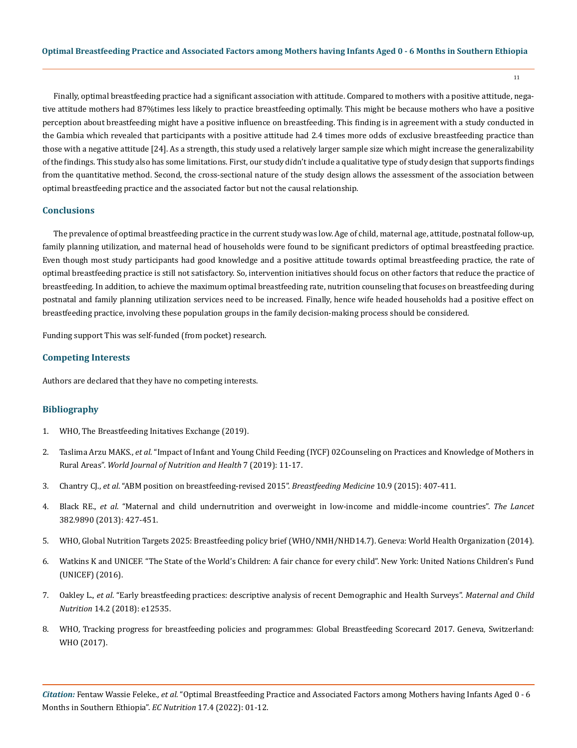Finally, optimal breastfeeding practice had a significant association with attitude. Compared to mothers with a positive attitude, negative attitude mothers had 87%times less likely to practice breastfeeding optimally. This might be because mothers who have a positive perception about breastfeeding might have a positive influence on breastfeeding. This finding is in agreement with a study conducted in the Gambia which revealed that participants with a positive attitude had 2.4 times more odds of exclusive breastfeeding practice than those with a negative attitude [24]. As a strength, this study used a relatively larger sample size which might increase the generalizability of the findings. This study also has some limitations. First, our study didn't include a qualitative type of study design that supports findings from the quantitative method. Second, the cross-sectional nature of the study design allows the assessment of the association between optimal breastfeeding practice and the associated factor but not the causal relationship.

### **Conclusions**

The prevalence of optimal breastfeeding practice in the current study was low. Age of child, maternal age, attitude, postnatal follow-up, family planning utilization, and maternal head of households were found to be significant predictors of optimal breastfeeding practice. Even though most study participants had good knowledge and a positive attitude towards optimal breastfeeding practice, the rate of optimal breastfeeding practice is still not satisfactory. So, intervention initiatives should focus on other factors that reduce the practice of breastfeeding. In addition, to achieve the maximum optimal breastfeeding rate, nutrition counseling that focuses on breastfeeding during postnatal and family planning utilization services need to be increased. Finally, hence wife headed households had a positive effect on breastfeeding practice, involving these population groups in the family decision-making process should be considered.

Funding support This was self-funded (from pocket) research.

#### **Competing Interests**

Authors are declared that they have no competing interests.

### **Bibliography**

- 1. [WHO, The Breastfeeding Initatives Exchange \(2019\).](https://www.paho.org/en/file/82005/download?token=i2-sucVA)
- 2. Taslima Arzu MAKS., *et al*[. "Impact of Infant and Young Child Feeding \(IYCF\) 02Counseling on Practices and Knowledge of Mothers in](https://www.alliedacademies.org/proceedings/impact-of-infant-and-young-child-feeding-iycf-counselling-on-practices-and-knowledge-of-mothers-in-rural-areas-in-bangla-5767.html)  Rural Areas". *[World Journal of Nutrition and Health](https://www.alliedacademies.org/proceedings/impact-of-infant-and-young-child-feeding-iycf-counselling-on-practices-and-knowledge-of-mothers-in-rural-areas-in-bangla-5767.html)* 7 (2019): 11-17.
- 3. Chantry CJ., *et al*[. "ABM position on breastfeeding-revised 2015".](https://pubmed.ncbi.nlm.nih.gov/26460722/) *Breastfeeding Medicine* 10.9 (2015): 407-411.
- 4. Black RE., *et al*[. "Maternal and child undernutrition and overweight in low-income and middle-income countries".](https://www.thelancet.com/journals/lancet/article/PIIS0140-6736(13)60937-X/fulltext) *The Lancet* [382.9890 \(2013\): 427-451.](https://www.thelancet.com/journals/lancet/article/PIIS0140-6736(13)60937-X/fulltext)
- 5. [WHO, Global Nutrition Targets 2025: Breastfeeding policy brief \(WHO/NMH/NHD14.7\). Geneva: World Health Organization \(2014\).](https://apps.who.int/iris/handle/10665/149022)
- 6. [Watkins K and UNICEF. "The State of the World's Children: A fair chance for every child". New York: United Nations Children's Fund](https://www.unicef.org/reports/state-worlds-children-2016)  [\(UNICEF\) \(2016\).](https://www.unicef.org/reports/state-worlds-children-2016)
- 7. Oakley L., *et al*[. "Early breastfeeding practices: descriptive analysis of recent Demographic and Health Surveys".](https://pubmed.ncbi.nlm.nih.gov/29034551/) *Maternal and Child Nutrition* [14.2 \(2018\): e12535.](https://pubmed.ncbi.nlm.nih.gov/29034551/)
- 8. [WHO, Tracking progress for breastfeeding policies and programmes: Global Breastfeeding Scorecard 2017. Geneva, Switzerland:](https://www.who.int/publications/m/item/global-breastfeeding-scorecard-2017-tracking-progress-for-breastfeeding-policies-and-programmes)  [WHO \(2017\).](https://www.who.int/publications/m/item/global-breastfeeding-scorecard-2017-tracking-progress-for-breastfeeding-policies-and-programmes)

*Citation:* Fentaw Wassie Feleke*., et al.* "Optimal Breastfeeding Practice and Associated Factors among Mothers having Infants Aged 0 - 6 Months in Southern Ethiopia". *EC Nutrition* 17.4 (2022): 01-12.